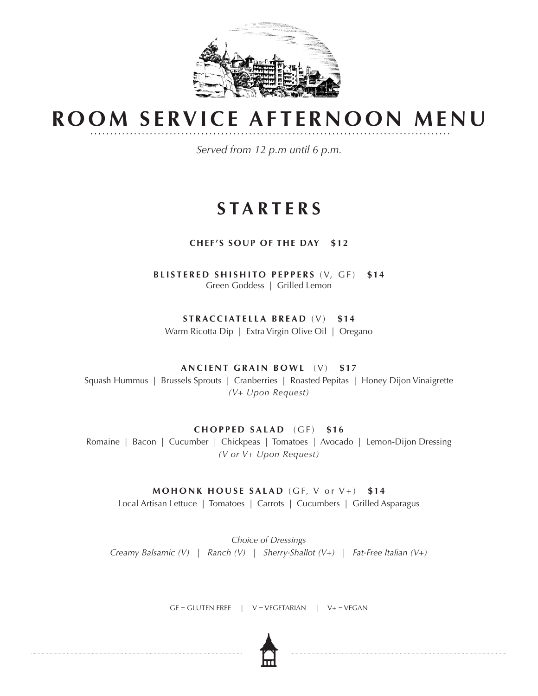

# **ROOM SERVICE AFTERNOON MENU**

*Served from 12 p.m until 6 p.m.*

## **STARTERS**

### **CHEF'S SOUP OF THE DAY \$12**

**BLISTERED SHISHITO PEPPERS** (V, GF) **\$14**  Green Goddess | Grilled Lemon

**STRACCIATELLA BREAD** (V) **\$14**

Warm Ricotta Dip | Extra Virgin Olive Oil | Oregano

#### **ANCIENT GRAIN BOWL** (V) **\$17**

Squash Hummus | Brussels Sprouts | Cranberries | Roasted Pepitas | Honey Dijon Vinaigrette *(V+ Upon Request)*

#### **CHOPPED SALAD** (GF) **\$16**

Romaine | Bacon | Cucumber | Chickpeas | Tomatoes | Avocado | Lemon-Dijon Dressing *(V or V+ Upon Request)*

#### **MOHONK HOUSE SALAD** (GF, V or V+) **\$14**

Local Artisan Lettuce | Tomatoes | Carrots | Cucumbers | Grilled Asparagus

*Choice of Dressings Creamy Balsamic (V)* | *Ranch (V)* | *Sherry-Shallot (V+)* | *Fat-Free Italian (V+)*

 $GF = GLUTEN FRE$  |  $V = VEGETARIAN$  |  $V + VEGAN$ 

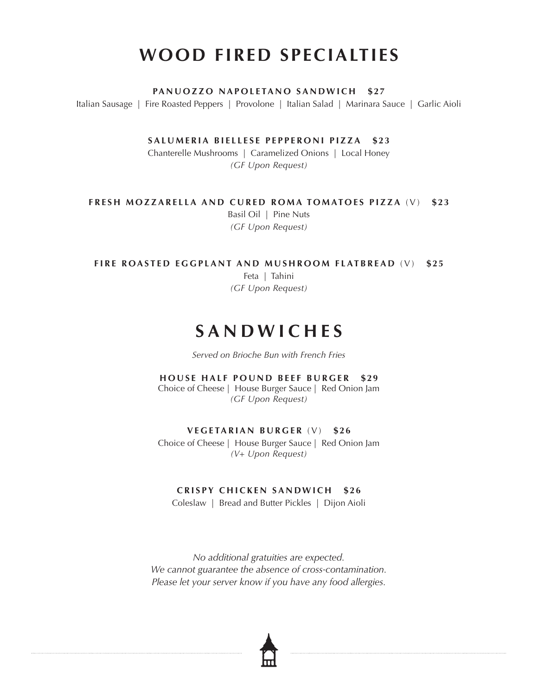## **WOOD FIRED SPECIALTIES**

**PANUOZZO NAPOLETANO SANDWICH \$27**

Italian Sausage | Fire Roasted Peppers | Provolone | Italian Salad | Marinara Sauce | Garlic Aioli

SALUMERIA BIELLESE PEPPERONI PIZZA \$23

Chanterelle Mushrooms | Caramelized Onions | Local Honey *(GF Upon Request)*

**FRESH MOZZARELLA AND CURED ROMA TOMATOES PIZZA** (V) **\$23**

Basil Oil | Pine Nuts *(GF Upon Request)*

**FIRE ROASTED EGGPLANT AND MUSHROOM FLATBREAD** (V) **\$25**

Feta | Tahini *(GF Upon Request)*

## **SANDWICHES**

*Served on Brioche Bun with French Fries*

**HOUSE HALF POUND BEEF BURGER \$29** 

Choice of Cheese | House Burger Sauce | Red Onion Jam *(GF Upon Request)*

#### **VEGETARIAN BURGER** (V) **\$26**

Choice of Cheese | House Burger Sauce | Red Onion Jam *(V+ Upon Request)*

### **CRISPY CHICKEN SANDWICH \$26**

Coleslaw | Bread and Butter Pickles | Dijon Aioli

*No additional gratuities are expected. We cannot guarantee the absence of cross-contamination. Please let your server know if you have any food allergies.*